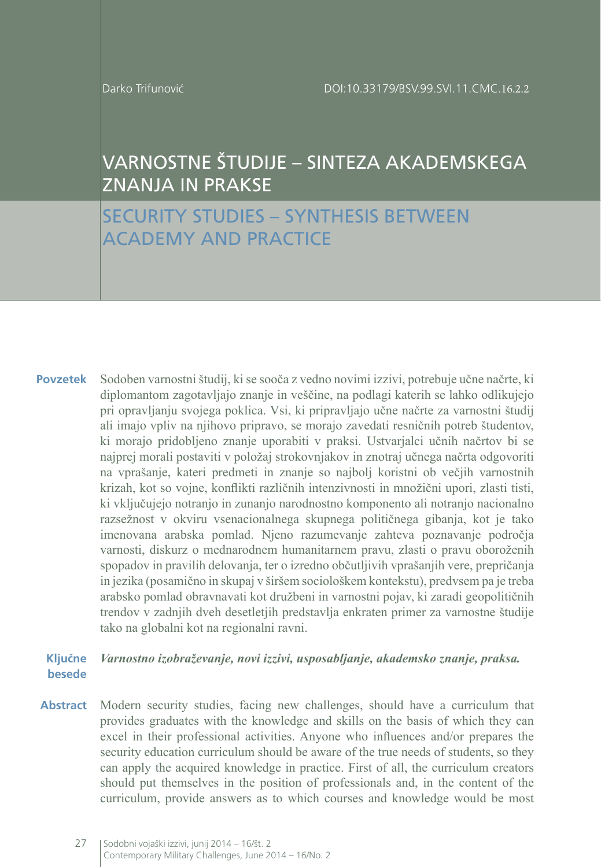# VARNOSTNE ŠTUDIJE – SINTEZA AKADEMSKEGA ZNANJA IN PRAKSE

## SECURITY STUDIES – SYNTHESIS BETWEEN ACADEMY AND PRACTICE

Sodoben varnostni študij, ki se sooča z vedno novimi izzivi, potrebuje učne načrte, ki diplomantom zagotavljajo znanje in veščine, na podlagi katerih se lahko odlikujejo pri opravljanju svojega poklica. Vsi, ki pripravljajo učne načrte za varnostni študij ali imajo vpliv na njihovo pripravo, se morajo zavedati resničnih potreb študentov, ki morajo pridobljeno znanje uporabiti v praksi. Ustvarjalci učnih načrtov bi se najprej morali postaviti v položaj strokovnjakov in znotraj učnega načrta odgovoriti na vprašanje, kateri predmeti in znanje so najbolj koristni ob večjih varnostnih krizah, kot so vojne, konflikti različnih intenzivnosti in množični upori, zlasti tisti, ki vključujejo notranjo in zunanjo narodnostno komponento ali notranjo nacionalno razsežnost v okviru vsenacionalnega skupnega političnega gibanja, kot je tako imenovana arabska pomlad. Njeno razumevanje zahteva poznavanje področja varnosti, diskurz o mednarodnem humanitarnem pravu, zlasti o pravu oboroženih spopadov in pravilih delovanja, ter o izredno občutljivih vprašanjih vere, prepričanja in jezika (posamično in skupaj v širšem sociološkem kontekstu), predvsem pa je treba arabsko pomlad obravnavati kot družbeni in varnostni pojav, ki zaradi geopolitičnih trendov v zadnjih dveh desetletjih predstavlja enkraten primer za varnostne študije tako na globalni kot na regionalni ravni. **Povzetek**

#### *Varnostno izobraževanje, novi izzivi, usposabljanje, akademsko znanje, praksa.* **Ključne besede**

Modern security studies, facing new challenges, should have a curriculum that provides graduates with the knowledge and skills on the basis of which they can excel in their professional activities. Anyone who influences and/or prepares the security education curriculum should be aware of the true needs of students, so they can apply the acquired knowledge in practice. First of all, the curriculum creators should put themselves in the position of professionals and, in the content of the curriculum, provide answers as to which courses and knowledge would be most **Abstract**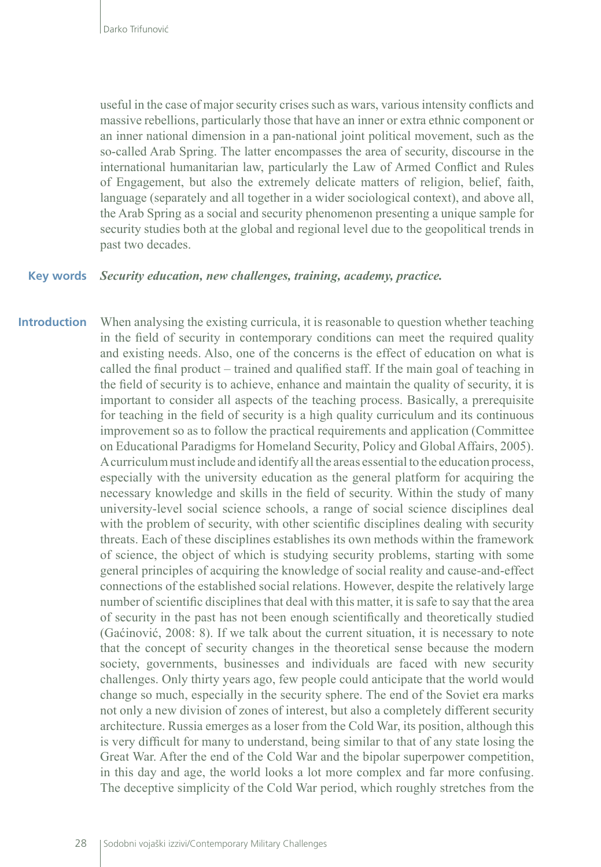useful in the case of major security crises such as wars, various intensity conflicts and massive rebellions, particularly those that have an inner or extra ethnic component or an inner national dimension in a pan-national joint political movement, such as the so-called Arab Spring. The latter encompasses the area of security, discourse in the international humanitarian law, particularly the Law of Armed Conflict and Rules of Engagement, but also the extremely delicate matters of religion, belief, faith, language (separately and all together in a wider sociological context), and above all, the Arab Spring as a social and security phenomenon presenting a unique sample for security studies both at the global and regional level due to the geopolitical trends in past two decades.

#### *Security education, new challenges, training, academy, practice.* **Key words**

When analysing the existing curricula, it is reasonable to question whether teaching in the field of security in contemporary conditions can meet the required quality and existing needs. Also, one of the concerns is the effect of education on what is called the final product – trained and qualified staff. If the main goal of teaching in the field of security is to achieve, enhance and maintain the quality of security, it is important to consider all aspects of the teaching process. Basically, a prerequisite for teaching in the field of security is a high quality curriculum and its continuous improvement so as to follow the practical requirements and application (Committee on Educational Paradigms for Homeland Security, Policy and Global Affairs, 2005). A curriculum must include and identify all the areas essential to the education process, especially with the university education as the general platform for acquiring the necessary knowledge and skills in the field of security. Within the study of many university-level social science schools, a range of social science disciplines deal with the problem of security, with other scientific disciplines dealing with security threats. Each of these disciplines establishes its own methods within the framework of science, the object of which is studying security problems, starting with some general principles of acquiring the knowledge of social reality and cause-and-effect connections of the established social relations. However, despite the relatively large number of scientific disciplines that deal with this matter, it is safe to say that the area of security in the past has not been enough scientifically and theoretically studied (Gaćinović, 2008: 8). If we talk about the current situation, it is necessary to note that the concept of security changes in the theoretical sense because the modern society, governments, businesses and individuals are faced with new security challenges. Only thirty years ago, few people could anticipate that the world would change so much, especially in the security sphere. The end of the Soviet era marks not only a new division of zones of interest, but also a completely different security architecture. Russia emerges as a loser from the Cold War, its position, although this is very difficult for many to understand, being similar to that of any state losing the Great War. After the end of the Cold War and the bipolar superpower competition, in this day and age, the world looks a lot more complex and far more confusing. The deceptive simplicity of the Cold War period, which roughly stretches from the **Introduction**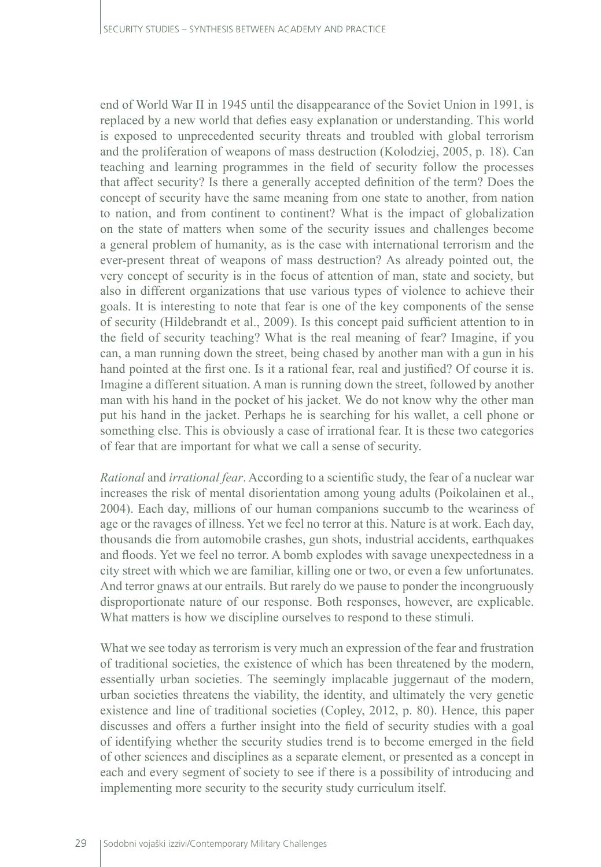end of World War II in 1945 until the disappearance of the Soviet Union in 1991, is replaced by a new world that defies easy explanation or understanding. This world is exposed to unprecedented security threats and troubled with global terrorism and the proliferation of weapons of mass destruction (Kolodziej, 2005, p. 18). Can teaching and learning programmes in the field of security follow the processes that affect security? Is there a generally accepted definition of the term? Does the concept of security have the same meaning from one state to another, from nation to nation, and from continent to continent? What is the impact of globalization on the state of matters when some of the security issues and challenges become a general problem of humanity, as is the case with international terrorism and the ever-present threat of weapons of mass destruction? As already pointed out, the very concept of security is in the focus of attention of man, state and society, but also in different organizations that use various types of violence to achieve their goals. It is interesting to note that fear is one of the key components of the sense of security (Hildebrandt et al., 2009). Is this concept paid sufficient attention to in the field of security teaching? What is the real meaning of fear? Imagine, if you can, a man running down the street, being chased by another man with a gun in his hand pointed at the first one. Is it a rational fear, real and justified? Of course it is. Imagine a different situation. A man is running down the street, followed by another man with his hand in the pocket of his jacket. We do not know why the other man put his hand in the jacket. Perhaps he is searching for his wallet, a cell phone or something else. This is obviously a case of irrational fear. It is these two categories of fear that are important for what we call a sense of security.

*Rational* and *irrational fear*. According to a scientific study, the fear of a nuclear war increases the risk of mental disorientation among young adults (Poikolainen et al., 2004). Each day, millions of our human companions succumb to the weariness of age or the ravages of illness. Yet we feel no terror at this. Nature is at work. Each day, thousands die from automobile crashes, gun shots, industrial accidents, earthquakes and floods. Yet we feel no terror. A bomb explodes with savage unexpectedness in a city street with which we are familiar, killing one or two, or even a few unfortunates. And terror gnaws at our entrails. But rarely do we pause to ponder the incongruously disproportionate nature of our response. Both responses, however, are explicable. What matters is how we discipline ourselves to respond to these stimuli.

What we see today as terrorism is very much an expression of the fear and frustration of traditional societies, the existence of which has been threatened by the modern, essentially urban societies. The seemingly implacable juggernaut of the modern, urban societies threatens the viability, the identity, and ultimately the very genetic existence and line of traditional societies (Copley, 2012, p. 80). Hence, this paper discusses and offers a further insight into the field of security studies with a goal of identifying whether the security studies trend is to become emerged in the field of other sciences and disciplines as a separate element, or presented as a concept in each and every segment of society to see if there is a possibility of introducing and implementing more security to the security study curriculum itself.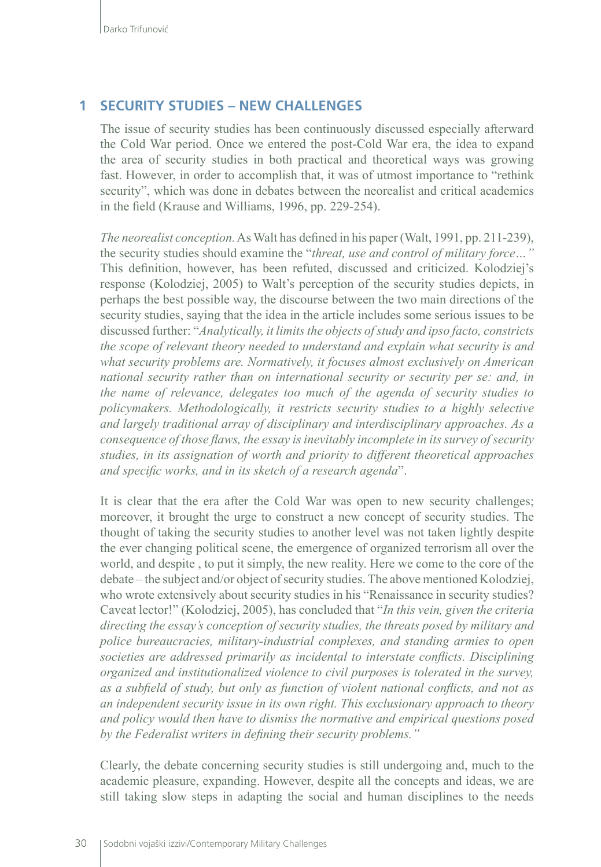#### **1 SECURITY STUDIES – NEW CHALLENGES**

The issue of security studies has been continuously discussed especially afterward the Cold War period. Once we entered the post-Cold War era, the idea to expand the area of security studies in both practical and theoretical ways was growing fast. However, in order to accomplish that, it was of utmost importance to "rethink security", which was done in debates between the neorealist and critical academics in the field (Krause and Williams, 1996, pp. 229-254).

*The neorealist conception.* As Walt has defined in his paper (Walt, 1991, pp. 211-239), the security studies should examine the "*threat, use and control of military force…"*  This definition, however, has been refuted, discussed and criticized. Kolodziej's response (Kolodziej, 2005) to Walt's perception of the security studies depicts, in perhaps the best possible way, the discourse between the two main directions of the security studies, saying that the idea in the article includes some serious issues to be discussed further: "*Analytically, it limits the objects of study and ipso facto, constricts the scope of relevant theory needed to understand and explain what security is and what security problems are. Normatively, it focuses almost exclusively on American national security rather than on international security or security per se: and, in the name of relevance, delegates too much of the agenda of security studies to policymakers. Methodologically, it restricts security studies to a highly selective and largely traditional array of disciplinary and interdisciplinary approaches. As a consequence of those flaws, the essay is inevitably incomplete in its survey of security studies, in its assignation of worth and priority to different theoretical approaches and specific works, and in its sketch of a research agenda*".

It is clear that the era after the Cold War was open to new security challenges; moreover, it brought the urge to construct a new concept of security studies. The thought of taking the security studies to another level was not taken lightly despite the ever changing political scene, the emergence of organized terrorism all over the world, and despite , to put it simply, the new reality. Here we come to the core of the debate – the subject and/or object of security studies. The above mentioned Kolodziej, who wrote extensively about security studies in his "Renaissance in security studies? Caveat lector!" (Kolodziej, 2005), has concluded that "*In this vein, given the criteria directing the essay's conception of security studies, the threats posed by military and police bureaucracies, military-industrial complexes, and standing armies to open societies are addressed primarily as incidental to interstate conflicts. Disciplining organized and institutionalized violence to civil purposes is tolerated in the survey, as a subfield of study, but only as function of violent national conflicts, and not as an independent security issue in its own right. This exclusionary approach to theory and policy would then have to dismiss the normative and empirical questions posed by the Federalist writers in defining their security problems."*

Clearly, the debate concerning security studies is still undergoing and, much to the academic pleasure, expanding. However, despite all the concepts and ideas, we are still taking slow steps in adapting the social and human disciplines to the needs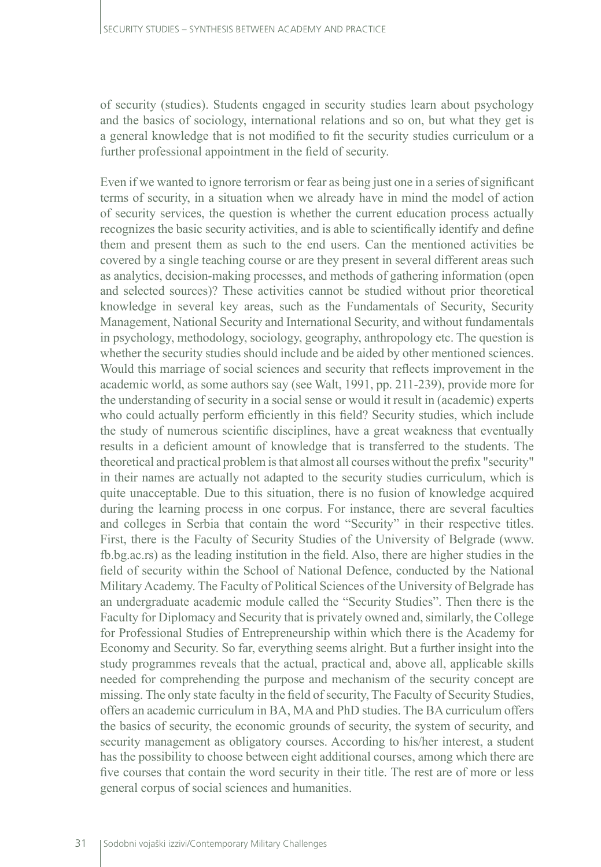of security (studies). Students engaged in security studies learn about psychology and the basics of sociology, international relations and so on, but what they get is a general knowledge that is not modified to fit the security studies curriculum or a further professional appointment in the field of security.

Even if we wanted to ignore terrorism or fear as being just one in a series of significant terms of security, in a situation when we already have in mind the model of action of security services, the question is whether the current education process actually recognizes the basic security activities, and is able to scientifically identify and define them and present them as such to the end users. Can the mentioned activities be covered by a single teaching course or are they present in several different areas such as analytics, decision-making processes, and methods of gathering information (open and selected sources)? These activities cannot be studied without prior theoretical knowledge in several key areas, such as the Fundamentals of Security, Security Management, National Security and International Security, and without fundamentals in psychology, methodology, sociology, geography, anthropology etc. The question is whether the security studies should include and be aided by other mentioned sciences. Would this marriage of social sciences and security that reflects improvement in the academic world, as some authors say (see Walt, 1991, pp. 211-239), provide more for the understanding of security in a social sense or would it result in (academic) experts who could actually perform efficiently in this field? Security studies, which include the study of numerous scientific disciplines, have a great weakness that eventually results in a deficient amount of knowledge that is transferred to the students. The theoretical and practical problem is that almost all courses without the prefix "security" in their names are actually not adapted to the security studies curriculum, which is quite unacceptable. Due to this situation, there is no fusion of knowledge acquired during the learning process in one corpus. For instance, there are several faculties and colleges in Serbia that contain the word "Security" in their respective titles. First, there is the Faculty of Security Studies of the University of Belgrade (www. fb.bg.ac.rs) as the leading institution in the field. Also, there are higher studies in the field of security within the School of National Defence, conducted by the National Military Academy. The Faculty of Political Sciences of the University of Belgrade has an undergraduate academic module called the "Security Studies". Then there is the Faculty for Diplomacy and Security that is privately owned and, similarly, the College for Professional Studies of Entrepreneurship within which there is the Academy for Economy and Security. So far, everything seems alright. But a further insight into the study programmes reveals that the actual, practical and, above all, applicable skills needed for comprehending the purpose and mechanism of the security concept are missing. The only state faculty in the field of security, The Faculty of Security Studies, offers an academic curriculum in BA, MA and PhD studies. The BA curriculum offers the basics of security, the economic grounds of security, the system of security, and security management as obligatory courses. According to his/her interest, a student has the possibility to choose between eight additional courses, among which there are five courses that contain the word security in their title. The rest are of more or less general corpus of social sciences and humanities.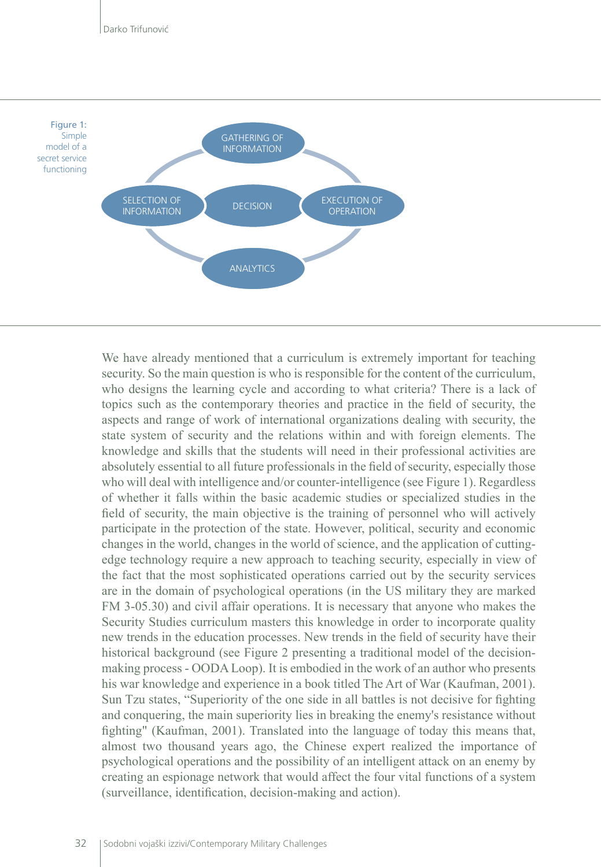

We have already mentioned that a curriculum is extremely important for teaching security. So the main question is who is responsible for the content of the curriculum, who designs the learning cycle and according to what criteria? There is a lack of topics such as the contemporary theories and practice in the field of security, the aspects and range of work of international organizations dealing with security, the state system of security and the relations within and with foreign elements. The knowledge and skills that the students will need in their professional activities are absolutely essential to all future professionals in the field of security, especially those who will deal with intelligence and/or counter-intelligence (see Figure 1). Regardless of whether it falls within the basic academic studies or specialized studies in the field of security, the main objective is the training of personnel who will actively participate in the protection of the state. However, political, security and economic changes in the world, changes in the world of science, and the application of cuttingedge technology require a new approach to teaching security, especially in view of the fact that the most sophisticated operations carried out by the security services are in the domain of psychological operations (in the US military they are marked FM 3-05.30) and civil affair operations. It is necessary that anyone who makes the Security Studies curriculum masters this knowledge in order to incorporate quality new trends in the education processes. New trends in the field of security have their historical background (see Figure 2 presenting a traditional model of the decisionmaking process - OODA Loop). It is embodied in the work of an author who presents his war knowledge and experience in a book titled The Art of War (Kaufman, 2001). Sun Tzu states, "Superiority of the one side in all battles is not decisive for fighting and conquering, the main superiority lies in breaking the enemy's resistance without fighting" (Kaufman, 2001). Translated into the language of today this means that, almost two thousand years ago, the Chinese expert realized the importance of psychological operations and the possibility of an intelligent attack on an enemy by creating an espionage network that would affect the four vital functions of a system (surveillance, identification, decision-making and action).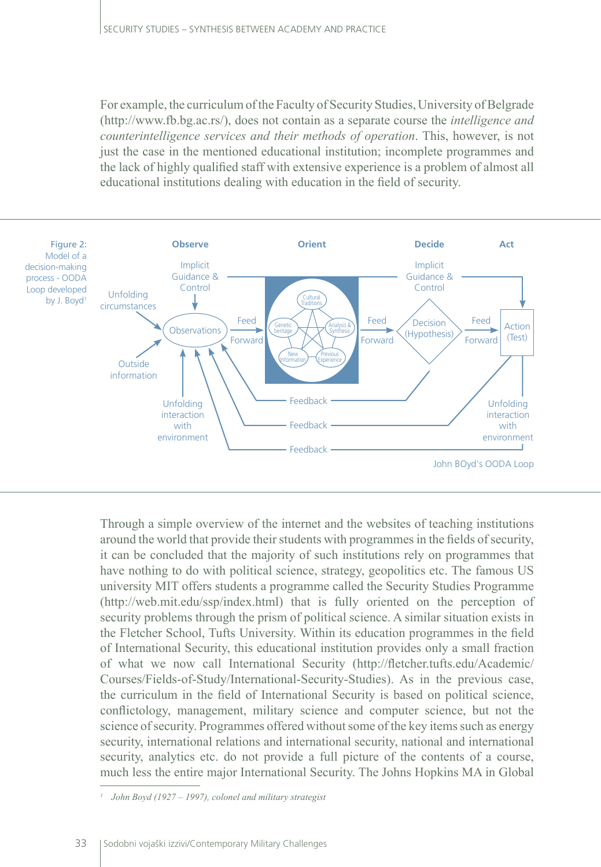For example, the curriculum of the Faculty of Security Studies, University of Belgrade (http://www.fb.bg.ac.rs/), does not contain as a separate course the *intelligence and counterintelligence services and their methods of operation*. This, however, is not just the case in the mentioned educational institution; incomplete programmes and the lack of highly qualified staff with extensive experience is a problem of almost all educational institutions dealing with education in the field of security.



Through a simple overview of the internet and the websites of teaching institutions around the world that provide their students with programmes in the fields of security, it can be concluded that the majority of such institutions rely on programmes that have nothing to do with political science, strategy, geopolitics etc. The famous US university MIT offers students a programme called the Security Studies Programme (http://web.mit.edu/ssp/index.html) that is fully oriented on the perception of security problems through the prism of political science. A similar situation exists in the Fletcher School, Tufts University. Within its education programmes in the field of International Security, this educational institution provides only a small fraction of what we now call International Security (http://fletcher.tufts.edu/Academic/ Courses/Fields-of-Study/International-Security-Studies). As in the previous case, the curriculum in the field of International Security is based on political science, conflictology, management, military science and computer science, but not the science of security. Programmes offered without some of the key items such as energy security, international relations and international security, national and international security, analytics etc. do not provide a full picture of the contents of a course, much less the entire major International Security. The Johns Hopkins MA in Global

*<sup>1</sup> John Boyd (1927 – 1997), colonel and military strategist*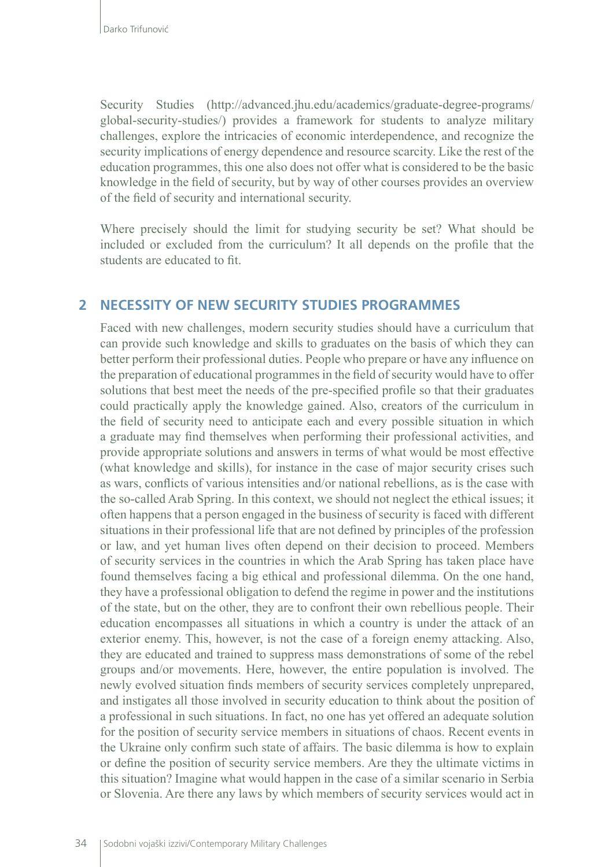Security Studies (http://advanced.jhu.edu/academics/graduate-degree-programs/ global-security-studies/) provides a framework for students to analyze military challenges, explore the intricacies of economic interdependence, and recognize the security implications of energy dependence and resource scarcity. Like the rest of the education programmes, this one also does not offer what is considered to be the basic knowledge in the field of security, but by way of other courses provides an overview of the field of security and international security.

Where precisely should the limit for studying security be set? What should be included or excluded from the curriculum? It all depends on the profile that the students are educated to fit.

### **2 NECESSITY OF NEW SECURITY STUDIES PROGRAMMES**

Faced with new challenges, modern security studies should have a curriculum that can provide such knowledge and skills to graduates on the basis of which they can better perform their professional duties. People who prepare or have any influence on the preparation of educational programmes in the field of security would have to offer solutions that best meet the needs of the pre-specified profile so that their graduates could practically apply the knowledge gained. Also, creators of the curriculum in the field of security need to anticipate each and every possible situation in which a graduate may find themselves when performing their professional activities, and provide appropriate solutions and answers in terms of what would be most effective (what knowledge and skills), for instance in the case of major security crises such as wars, conflicts of various intensities and/or national rebellions, as is the case with the so-called Arab Spring. In this context, we should not neglect the ethical issues; it often happens that a person engaged in the business of security is faced with different situations in their professional life that are not defined by principles of the profession or law, and yet human lives often depend on their decision to proceed. Members of security services in the countries in which the Arab Spring has taken place have found themselves facing a big ethical and professional dilemma. On the one hand, they have a professional obligation to defend the regime in power and the institutions of the state, but on the other, they are to confront their own rebellious people. Their education encompasses all situations in which a country is under the attack of an exterior enemy. This, however, is not the case of a foreign enemy attacking. Also, they are educated and trained to suppress mass demonstrations of some of the rebel groups and/or movements. Here, however, the entire population is involved. The newly evolved situation finds members of security services completely unprepared, and instigates all those involved in security education to think about the position of a professional in such situations. In fact, no one has yet offered an adequate solution for the position of security service members in situations of chaos. Recent events in the Ukraine only confirm such state of affairs. The basic dilemma is how to explain or define the position of security service members. Are they the ultimate victims in this situation? Imagine what would happen in the case of a similar scenario in Serbia or Slovenia. Are there any laws by which members of security services would act in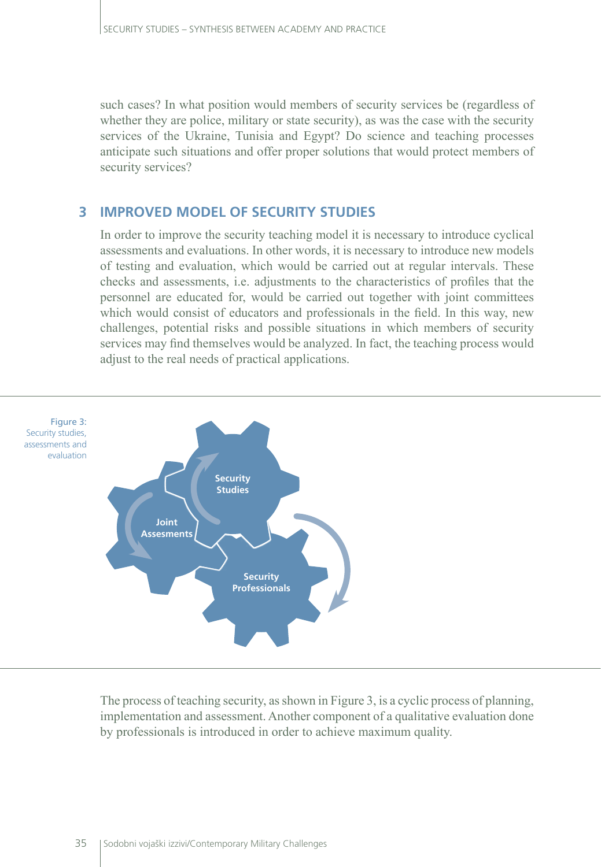such cases? In what position would members of security services be (regardless of whether they are police, military or state security), as was the case with the security services of the Ukraine, Tunisia and Egypt? Do science and teaching processes anticipate such situations and offer proper solutions that would protect members of security services?

### **3 IMPROVED MODEL OF SECURITY STUDIES**

In order to improve the security teaching model it is necessary to introduce cyclical assessments and evaluations. In other words, it is necessary to introduce new models of testing and evaluation, which would be carried out at regular intervals. These checks and assessments, i.e. adjustments to the characteristics of profiles that the personnel are educated for, would be carried out together with joint committees which would consist of educators and professionals in the field. In this way, new challenges, potential risks and possible situations in which members of security services may find themselves would be analyzed. In fact, the teaching process would adjust to the real needs of practical applications.



The process of teaching security, as shown in Figure 3, is a cyclic process of planning, implementation and assessment. Another component of a qualitative evaluation done by professionals is introduced in order to achieve maximum quality.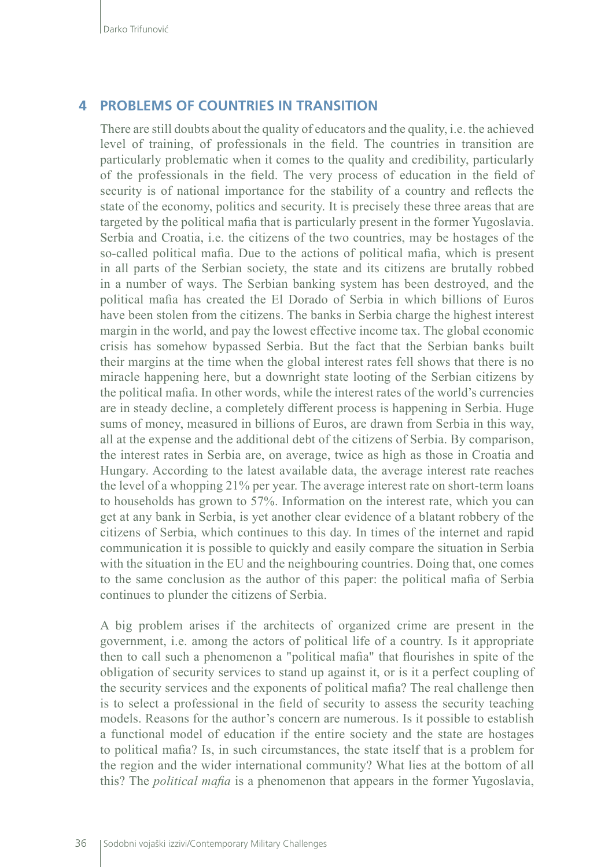### **4 PROBLEMS OF COUNTRIES IN TRANSITION**

There are still doubts about the quality of educators and the quality, i.e. the achieved level of training, of professionals in the field. The countries in transition are particularly problematic when it comes to the quality and credibility, particularly of the professionals in the field. The very process of education in the field of security is of national importance for the stability of a country and reflects the state of the economy, politics and security. It is precisely these three areas that are targeted by the political mafia that is particularly present in the former Yugoslavia. Serbia and Croatia, i.e. the citizens of the two countries, may be hostages of the so-called political mafia. Due to the actions of political mafia, which is present in all parts of the Serbian society, the state and its citizens are brutally robbed in a number of ways. The Serbian banking system has been destroyed, and the political mafia has created the El Dorado of Serbia in which billions of Euros have been stolen from the citizens. The banks in Serbia charge the highest interest margin in the world, and pay the lowest effective income tax. The global economic crisis has somehow bypassed Serbia. But the fact that the Serbian banks built their margins at the time when the global interest rates fell shows that there is no miracle happening here, but a downright state looting of the Serbian citizens by the political mafia. In other words, while the interest rates of the world's currencies are in steady decline, a completely different process is happening in Serbia. Huge sums of money, measured in billions of Euros, are drawn from Serbia in this way, all at the expense and the additional debt of the citizens of Serbia. By comparison, the interest rates in Serbia are, on average, twice as high as those in Croatia and Hungary. According to the latest available data, the average interest rate reaches the level of a whopping 21% per year. The average interest rate on short-term loans to households has grown to 57%. Information on the interest rate, which you can get at any bank in Serbia, is yet another clear evidence of a blatant robbery of the citizens of Serbia, which continues to this day. In times of the internet and rapid communication it is possible to quickly and easily compare the situation in Serbia with the situation in the EU and the neighbouring countries. Doing that, one comes to the same conclusion as the author of this paper: the political mafia of Serbia continues to plunder the citizens of Serbia.

A big problem arises if the architects of organized crime are present in the government, i.e. among the actors of political life of a country. Is it appropriate then to call such a phenomenon a "political mafia" that flourishes in spite of the obligation of security services to stand up against it, or is it a perfect coupling of the security services and the exponents of political mafia? The real challenge then is to select a professional in the field of security to assess the security teaching models. Reasons for the author's concern are numerous. Is it possible to establish a functional model of education if the entire society and the state are hostages to political mafia? Is, in such circumstances, the state itself that is a problem for the region and the wider international community? What lies at the bottom of all this? The *political mafia* is a phenomenon that appears in the former Yugoslavia,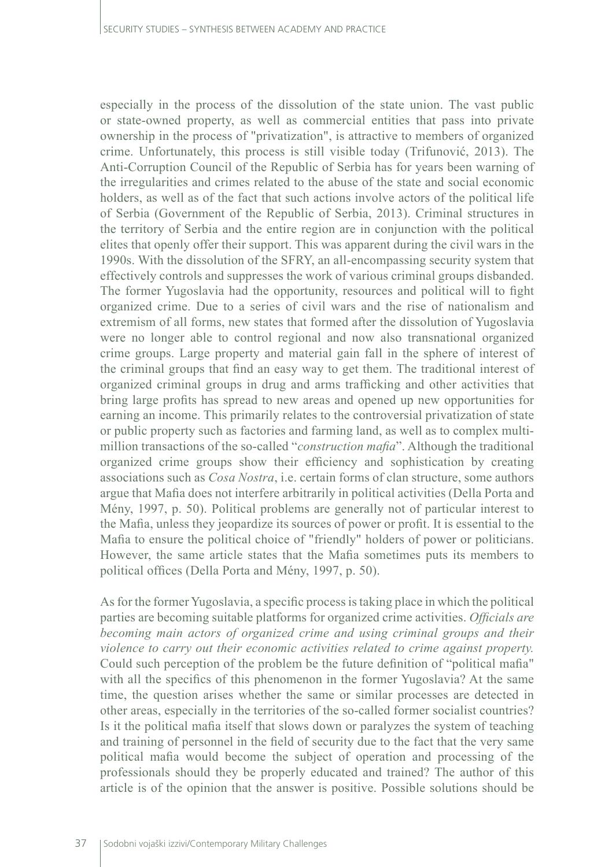especially in the process of the dissolution of the state union. The vast public or state-owned property, as well as commercial entities that pass into private ownership in the process of "privatization", is attractive to members of organized crime. Unfortunately, this process is still visible today (Trifunović, 2013). The Anti-Corruption Council of the Republic of Serbia has for years been warning of the irregularities and crimes related to the abuse of the state and social economic holders, as well as of the fact that such actions involve actors of the political life of Serbia (Government of the Republic of Serbia, 2013). Criminal structures in the territory of Serbia and the entire region are in conjunction with the political elites that openly offer their support. This was apparent during the civil wars in the 1990s. With the dissolution of the SFRY, an all-encompassing security system that effectively controls and suppresses the work of various criminal groups disbanded. The former Yugoslavia had the opportunity, resources and political will to fight organized crime. Due to a series of civil wars and the rise of nationalism and extremism of all forms, new states that formed after the dissolution of Yugoslavia were no longer able to control regional and now also transnational organized crime groups. Large property and material gain fall in the sphere of interest of the criminal groups that find an easy way to get them. The traditional interest of organized criminal groups in drug and arms trafficking and other activities that bring large profits has spread to new areas and opened up new opportunities for earning an income. This primarily relates to the controversial privatization of state or public property such as factories and farming land, as well as to complex multimillion transactions of the so-called "*construction mafia*". Although the traditional organized crime groups show their efficiency and sophistication by creating associations such as *Cosa Nostra*, i.e. certain forms of clan structure, some authors argue that Mafia does not interfere arbitrarily in political activities (Della Porta and Mény, 1997, p. 50). Political problems are generally not of particular interest to the Mafia, unless they jeopardize its sources of power or profit. It is essential to the Mafia to ensure the political choice of "friendly" holders of power or politicians. However, the same article states that the Mafia sometimes puts its members to political offices (Della Porta and Mény, 1997, p. 50).

As for the former Yugoslavia, a specific process is taking place in which the political parties are becoming suitable platforms for organized crime activities. *Officials are becoming main actors of organized crime and using criminal groups and their violence to carry out their economic activities related to crime against property.* Could such perception of the problem be the future definition of "political mafia" with all the specifics of this phenomenon in the former Yugoslavia? At the same time, the question arises whether the same or similar processes are detected in other areas, especially in the territories of the so-called former socialist countries? Is it the political mafia itself that slows down or paralyzes the system of teaching and training of personnel in the field of security due to the fact that the very same political mafia would become the subject of operation and processing of the professionals should they be properly educated and trained? The author of this article is of the opinion that the answer is positive. Possible solutions should be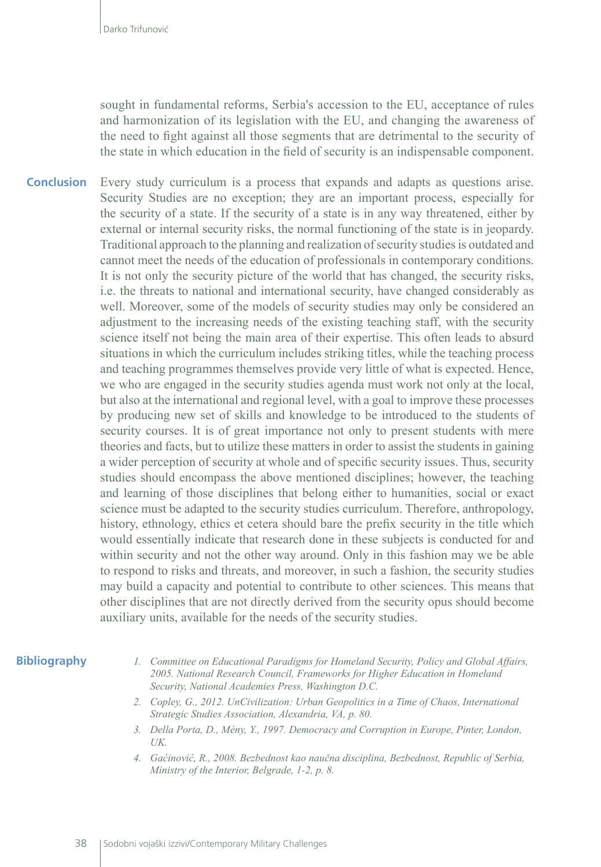sought in fundamental reforms, Serbia's accession to the EU, acceptance of rules and harmonization of its legislation with the EU, and changing the awareness of the need to fight against all those segments that are detrimental to the security of the state in which education in the field of security is an indispensable component.

Every study curriculum is a process that expands and adapts as questions arise. Security Studies are no exception; they are an important process, especially for the security of a state. If the security of a state is in any way threatened, either by external or internal security risks, the normal functioning of the state is in jeopardy. Traditional approach to the planning and realization of security studies is outdated and cannot meet the needs of the education of professionals in contemporary conditions. It is not only the security picture of the world that has changed, the security risks, i.e. the threats to national and international security, have changed considerably as well. Moreover, some of the models of security studies may only be considered an adjustment to the increasing needs of the existing teaching staff, with the security science itself not being the main area of their expertise. This often leads to absurd situations in which the curriculum includes striking titles, while the teaching process and teaching programmes themselves provide very little of what is expected. Hence, we who are engaged in the security studies agenda must work not only at the local, but also at the international and regional level, with a goal to improve these processes by producing new set of skills and knowledge to be introduced to the students of security courses. It is of great importance not only to present students with mere theories and facts, but to utilize these matters in order to assist the students in gaining a wider perception of security at whole and of specific security issues. Thus, security studies should encompass the above mentioned disciplines; however, the teaching and learning of those disciplines that belong either to humanities, social or exact science must be adapted to the security studies curriculum. Therefore, anthropology, history, ethnology, ethics et cetera should bare the prefix security in the title which would essentially indicate that research done in these subjects is conducted for and within security and not the other way around. Only in this fashion may we be able to respond to risks and threats, and moreover, in such a fashion, the security studies may build a capacity and potential to contribute to other sciences. This means that other disciplines that are not directly derived from the security opus should become auxiliary units, available for the needs of the security studies. **Conclusion**

#### **Bibliography**

*1. Committee on Educational Paradigms for Homeland Security, Policy and Global Affairs, 2005. National Research Council, Frameworks for Higher Education in Homeland Security, National Academies Press, Washington D.C.*

- *2. Copley, G., 2012. UnCivilization: Urban Geopolitics in a Time of Chaos, International Strategic Studies Association, Alexandria, VA, p. 80.*
- *3. Della Porta, D., Mény, Y., 1997. Democracy and Corruption in Europe, Pinter, London, UK.*
- *4. Gaćinović, R., 2008. Bezbednost kao naučna disciplina, Bezbednost, Republic of Serbia, Ministry of the Interior, Belgrade, 1-2, p. 8.*